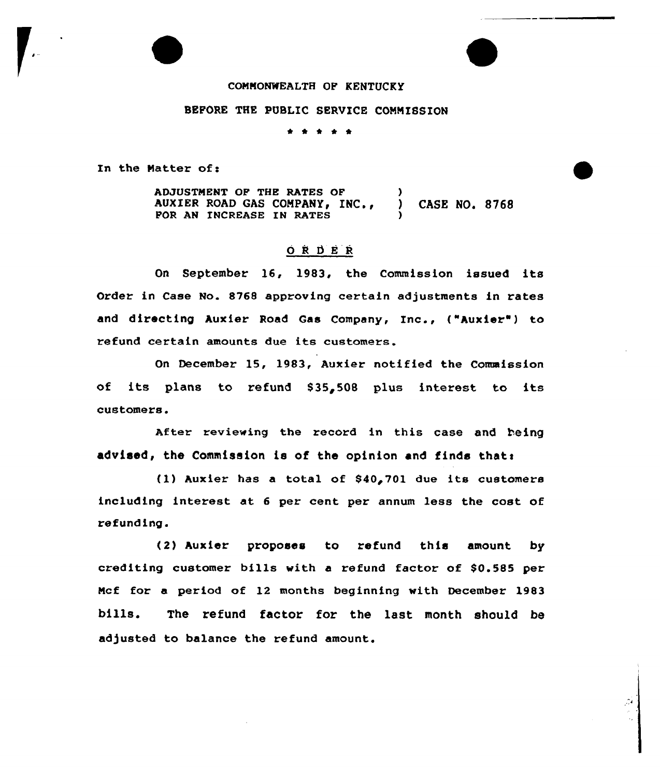## CONMONWEALTH OF KENTUCKY

## BEFORE THE PUBLIC SERVICE COMMISSION

\* \* \* \* \*

In the Matter of:

ADJUSTMENT OF THE RATES OF  $)$ <br>AUXIER ROAD GAS COMPANY, INC., ) AUXIER ROAD GAS COMPANY, INC., ) CASE NO. 8768 FOR AN INCREASE IN RATES

## 0 <sup>R</sup> 6 E <sup>R</sup>

On September 16, 1983, the Commission issued its Order in Case No. 8768 approving certain adjustments in rates and directing Auxier Road Gas Company, Inc., ("Auxier"} to refund certain amounts due its customers.

On December 15, 1983, Auxier notified the Commission of its plans to refund 835~508 plus interest to its customers.

After reviewing the record in this case and being advised, the Commission is of the opinion and finds thats

(1) Auxier has a total of  $$40,701$  due its customers including interest at <sup>6</sup> per cent per annum less the cost of refunding.

(2} Auxier proposes to refund this amount by crediting customer bills with a refund factor of  $$0.585$  per Ncf for a period of 12 months beginning with December 1983 bills. The refund factor for the last month should be adjusted to balance the refund amount.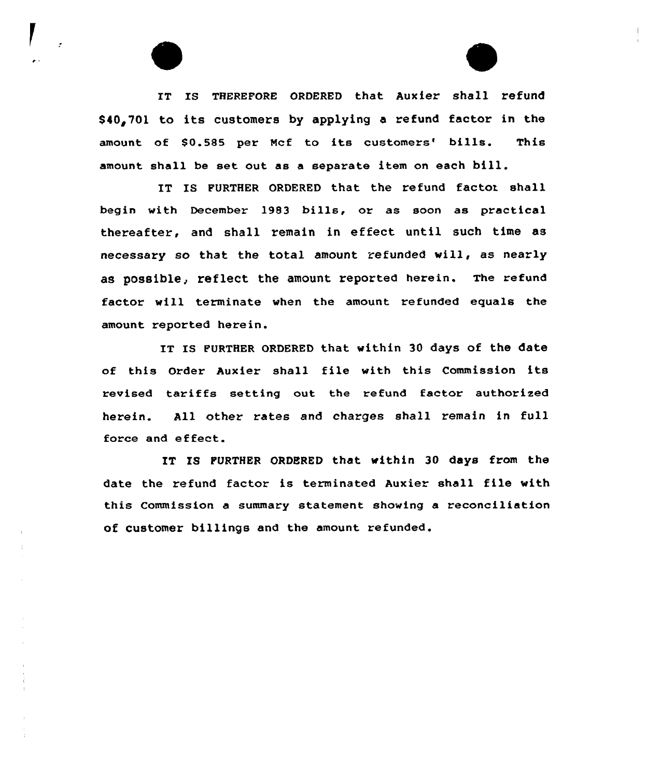IT Is THEREFoRE oRDERED that Auxier shall refund \$40,701 to its customers by applying a refund factor in the amount of \$0.585 per Mcf to its customers' bills. This amount shall be set out as <sup>a</sup> separate item on each bill.

IT IS FURTHER ORDERED that the refund factor shall begin with December 1983 bills, or as soon as practical thereafter, and shall remain in effect until such time as necessary so that the total amount refunded vill, as nearly as possible, reflect the amount reported herein. The refund factor will terminate when the amount refunded equals the amount reported herein.

IT IS PURTHER ORDERED that within 30 days of the date of this Order Auxier shall file with this Commission its revised tariffs setting out the refund factor authorized herein. All other rates and charges shall remain in full force and effect.

IT IS PURTHER ORDERED that within 30 days from the date the refund factor is terminated Auxier shall file vith this Commission a summary statement showing a reconci1iation of customer billings and the amount refunded.